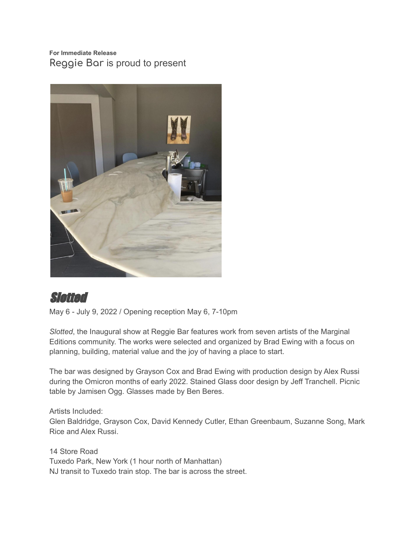## **For Immediate Release Reggie Bar** is proud to present



## Slotted

May 6 - July 9, 2022 / Opening reception May 6, 7-10pm

*Slotted*, the Inaugural show at Reggie Bar features work from seven artists of the Marginal Editions community. The works were selected and organized by Brad Ewing with a focus on planning, building, material value and the joy of having a place to start.

The bar was designed by Grayson Cox and Brad Ewing with production design by Alex Russi during the Omicron months of early 2022. Stained Glass door design by Jeff Tranchell. Picnic table by Jamisen Ogg. Glasses made by Ben Beres.

Artists Included: Glen Baldridge, Grayson Cox, David Kennedy Cutler, Ethan Greenbaum, Suzanne Song, Mark Rice and Alex Russi.

14 Store Road Tuxedo Park, New York (1 hour north of Manhattan) NJ transit to Tuxedo train stop. The bar is across the street.